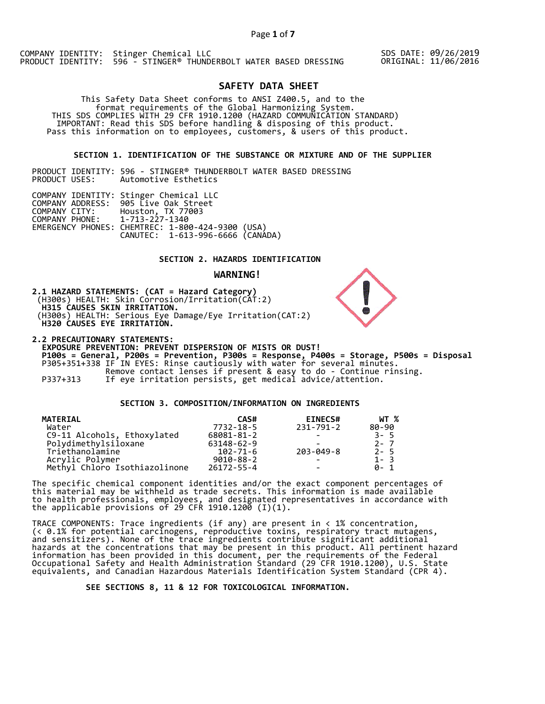SDS DATE: 09/26/2019 ORIGINAL: 11/06/2016

# **SAFETY DATA SHEET**

This Safety Data Sheet conforms to ANSI Z400.5, and to the<br>format requirements of the Global Harmonizing System.<br>THIS SDS COMPLIES WITH 29 CFR 1910.1200 (HAZARD COMMUNICATION STANDARD)<br>IMPORTANT: Read this SDS before handl

# **SECTION 1. IDENTIFICATION OF THE SUBSTANCE OR MIXTURE AND OF THE SUPPLIER**

PRODUCT IDENTITY: 596 - STINGER® THUNDERBOLT WATER BASED DRESSING Automotive Esthetics

|                               | COMPANY IDENTITY: Stinger Chemical LLC                                               |  |
|-------------------------------|--------------------------------------------------------------------------------------|--|
|                               | COMPANY ADDRESS: 905 Live Oak Street                                                 |  |
|                               | COMPANY CITY: Houston, TX 77003                                                      |  |
| COMPANY PHONE: 1-713-227-1340 |                                                                                      |  |
|                               |                                                                                      |  |
|                               | EMERGENCY PHONES: CHEMTREC: 1-800-424-9300 (USA)<br>CANUTEC: 1-613-996-6666 (CANADA) |  |

# **SECTION 2. HAZARDS IDENTIFICATION**

## **WARNING!**

**2.1 HAZARD STATEMENTS: (CAT = Hazard Category)** (H300s) HEALTH: Skin Corrosion/Irritation(CAT:2)  **H315 CAUSES SKIN IRRITATION.**  (H300s) HEALTH: Serious Eye Damage/Eye Irritation(CAT:2)  **H320 CAUSES EYE IRRITATION.** 

**2.2 PRECAUTIONARY STATEMENTS:**  P100s = General, P200s = Prevention, P300s = Response, P400s = Storage, P500s = Disposal<br>P305+351+338 IF IN EYES: Rinse cautiously with water for several minutes.<br>Remove contact lenses if present & easy to do - Continue ri

# **SECTION 3. COMPOSITION/INFORMATION ON INGREDIENTS**

| <b>MATERIAL</b>               | CAS#             | <b>EINECS#</b> | WT %      |
|-------------------------------|------------------|----------------|-----------|
| Water                         | 7732-18-5        | 231-791-2      | $80 - 90$ |
| C9-11 Alcohols, Ethoxylated   | 68081-81-2       |                | $3 - 5$   |
| Polydimethylsiloxane          | 63148-62-9       |                | $2 - 7$   |
| Triethanolamine               | 102-71-6         | 203-049-8      | $2 - 5$   |
| Acrylic Polymer               | $9010 - 88 - 2$  |                | $1 - 3$   |
| Methyl Chloro Isothiazolinone | $26172 - 55 - 4$ |                | ด- 1      |

The specific chemical component identities and/or the exact component percentages of this material may be withheld as trade secrets. This information is made available to health professionals, employees, and designated representatives in accordance with the applicable provisions of 29 CFR 1910.1200  $(I)(1)$ .

TRACE COMPONENTS: Trace ingredients (if any) are present in < 1% concentration, (< 0.1% for potential carcinogens, reproductive toxins, respiratory tract mutagens, and sensitizers). None of the trace ingredients contribute significant additional hazards at the concentrations that may be present in this product. All pertinent hazard information has been provided in this document, per the requirements of the Federal Occupational Safety and Health Administration Standard (29 CFR 1910.1200), U.S. State equivalents, and Canadian Hazardous Materials Identification System Standard (CPR 4).

 **SEE SECTIONS 8, 11 & 12 FOR TOXICOLOGICAL INFORMATION.** 

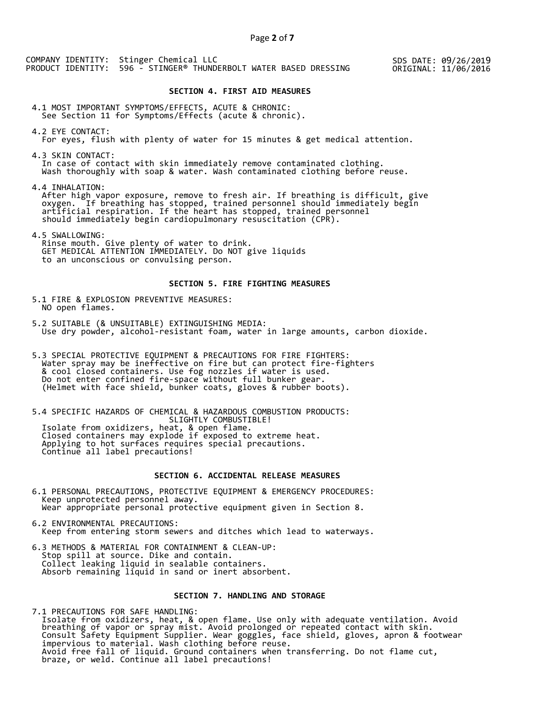SDS DATE: 09/26/2019 ORIGINAL: 11/06/2016

#### **SECTION 4. FIRST AID MEASURES**

4.1 MOST IMPORTANT SYMPTOMS/EFFECTS, ACUTE & CHRONIC: See Section 11 for Symptoms/Effects (acute & chronic).

4.2 EYE CONTACT: For eyes, flush with plenty of water for 15 minutes & get medical attention.

4.3 SKIN CONTACT:<br>In case of contact with skin immediately remove contaminated clothing. Wash thoroughly with soap & water. Wash contaminated clothing before reuse.

4.4 INHALATION:<br>After high vapor exposure, remove to fresh air. If breathing is difficult, give oxygen. If breathing has stopped, trained personnel should immediately begin<br>artificial respiration. If the heart has stopped, trained personnel<br>should immediately begin cardiopulmonary resuscitation (CPR).

4.5 SWALLOWING: Rinse mouth. Give plenty of water to drink. GET MEDICAL ATTENTION IMMEDIATELY. Do NOT give liquids to an unconscious or convulsing person.

# **SECTION 5. FIRE FIGHTING MEASURES**

5.1 FIRE & EXPLOSION PREVENTIVE MEASURES: NO open flames.

5.2 SUITABLE (& UNSUITABLE) EXTINGUISHING MEDIA: Use dry powder, alcohol-resistant foam, water in large amounts, carbon dioxide.

5.3 SPECIAL PROTECTIVE EQUIPMENT & PRECAUTIONS FOR FIRE FIGHTERS:<br>Water spray may be ineffective on fire but can protect fire-fighters<br>& cool closed containers. Use fog nozzles if water is used.<br>Do not enter confined fire-

5.4 SPECIFIC HAZARDS OF CHEMICAL & HAZARDOUS COMBUSTION PRODUCTS:<br>SLIGHTLY COMBUSTIBLE!<br>Isolate from oxidizers, heat, & open flame.<br>Closed containers may explode if exposed to extreme heat.<br>Applying to hot surfaces require

#### **SECTION 6. ACCIDENTAL RELEASE MEASURES**

6.1 PERSONAL PRECAUTIONS, PROTECTIVE EQUIPMENT & EMERGENCY PROCEDURES: Keep unprotected personnel away. Wear appropriate personal protective equipment given in Section 8.

- 6.2 ENVIRONMENTAL PRECAUTIONS: Keep from entering storm sewers and ditches which lead to waterways.
- 6.3 METHODS & MATERIAL FOR CONTAINMENT & CLEAN-UP:<br>Stop spill at source. Dike and contain.<br>Collect leaking liquid in sealable containers.<br>Absorb remaining liquid in sand or inert absorbent.

#### **SECTION 7. HANDLING AND STORAGE**

7.1 PRECAUTIONS FOR SAFE HANDLING: Isolate from oxidizers, heat, & open flame. Use only with adequate ventilation. Avoid breathing of vapor or spray mist. Avoid prolonged or repeated contact with skin.<br>Consult Safety Equipment Supplier. Wear goggles, face shield, gloves, apron & footwear<br>impervious to material. Wash clothing before reuse.<br>Av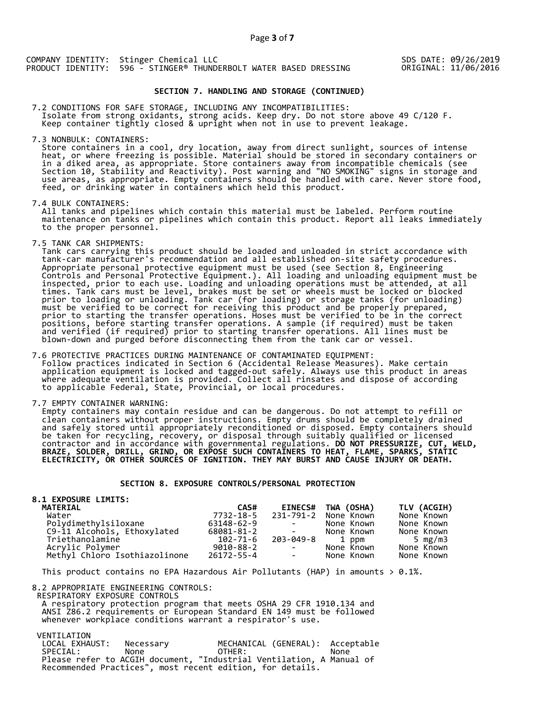SDS DATE: 09/26/2019 ORIGINAL: 11/06/2016

## **SECTION 7. HANDLING AND STORAGE (CONTINUED)**

7.2 CONDITIONS FOR SAFE STORAGE, INCLUDING ANY INCOMPATIBILITIES:<br>Isolate from strong oxidants, strong acids. Keep dry. Do not store above 49 C/120 F.<br>Keep container tightly closed & upright when not in use to prevent leak

7.3 NONBULK: CONTAINERS:

S NONBOLK. CONTAINERS.<br>Store containers in a cool, dry location, away from direct sunlight, sources of intense<br>heat, or where freezing is possible. Material should be stored in secondary containers or<br>in a diked area, as a

7.4 BULK CONTAINERS:<br>All tanks and pipelines which contain this material must be labeled. Perform routine maintenance on tanks or pipelines which contain this product. Report all leaks immediately<br>to the proper personnel.

7.5 TANK CAR SHIPMENTS:<br>Tank cars carrying this product should be loaded and unloaded in strict accordance with tank-car manufacturer's recommendation and all established on-site safety procedures.<br>Appropriate personal protective equipment must be used (see Section 8, Engineering<br>Controls and Personal Protective Equipment.). All loa

7.6 PROTECTIVE PRACTICES DURING MAINTENANCE OF CONTAMINATED EQUIPMENT:<br>Follow practices indicated in Section 6 (Accidental Release Measures). Make certain<br>application equipment is locked and tagged-out safely. Always use t

7.7 EMPTY CONTAINER WARNING:<br>Empty containers may contain residue and can be dangerous. Do not attempt to refill or End containers without proper instructions. Empty drums should be completely drained<br>and safely stored until appropriately reconditioned or disposed. Empty containers should<br>be taken for recycling, recovery, or disposal th

# **SECTION 8. EXPOSURE CONTROLS/PERSONAL PROTECTION**

**8.1 EXPOSURE LIMITS:**  MATERIAL CAS# EINECS# TWA (OSHA) TLV (ACGIH)<br>
Water 7732-18-5 231-791-2 None Known None Known<br>
Polydimethylsiloxane 63148-62-9 - None Known None Known<br>
C9-11 Alcohols, Ethoxylated 68081-81-2 - None Known None Known<br>
Trieth This product contains no EPA Hazardous Air Pollutants (HAP) in amounts  $> 0.1\%$ .

8.2 APPROPRIATE ENGINEERING CONTROLS:

A respiratory protection program that meets OSHA 29 CFR 1910.134 and<br>ANSI Z86.2 requirements or European Standard EN 149 must be followed<br>whenever workplace conditions warrant a respirator's use.

VENTILATION<br>LOCAL EXHAUST:<br>SPECIAL: LOCAL EXHAUST: Necessary MECHANICAL (GENERAL): Acceptable SPECIAL: None OTHER: None Please refer to ACGIH document, "Industrial Ventilation, A Manual of Recommended Practices", most recent edition, for details.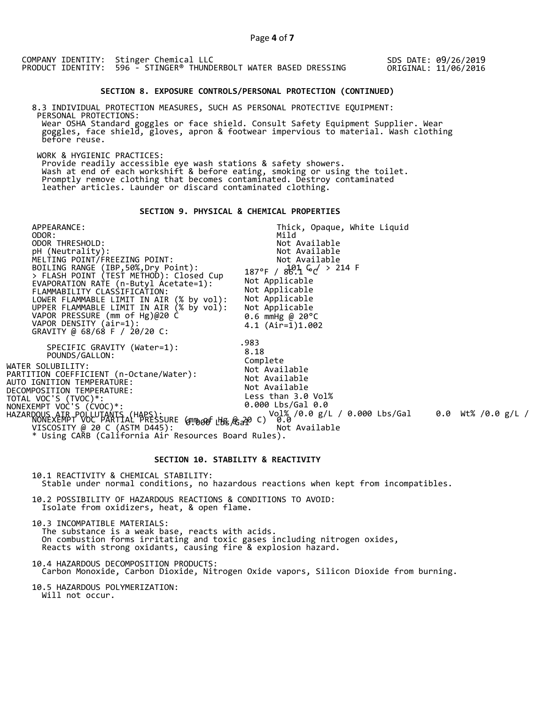COMPANY IDENTITY: Stinger Chemical LLC PRODUCT IDENTITY: 596 - STINGER® THUNDERBOLT WATER BASED DRESSING SDS DATE: 09/26/2019 ORIGINAL: 11/06/2016 **SECTION 8. EXPOSURE CONTROLS/PERSONAL PROTECTION (CONTINUED)** 8.3 INDIVIDUAL PROTECTION MEASURES, SUCH AS PERSONAL PROTECTIVE EQUIPMENT: PERSONAL PROTECTIONS:<br>Wear OSHA Standard goggles or face shield. Consult Safety Equipment Supplier. Wear Wear Osha Standard goggles or face shield. Consult Safety Equipment Supplier. Wear face shield. Consult Supplier<br>Before reuse. Before reuse. WORK & HYGIENIC PRACTICES:<br>Provide readily accessible eye wash stations & safety showers.

Wash at end of each workshift & before eating, smoking or using the toilet.<br>Promptly remove clothing that becomes contaminated. Destroy contaminated<br>leather articles. Launder or discard contaminated clothing.

# **SECTION 9. PHYSICAL & CHEMICAL PROPERTIES**

| APPEARANCE:<br>ODOR:<br>ODOR THRESHOLD:<br>pH (Neutrality):<br>MELTING POINT/FREEZING POINT:<br>BOILING RANGE (IBP, 50%, Dry Point):<br>> FLASH POINT (TEST METHOD): Closed Cup<br>EVAPORATION RATE (n-Butyl Acetate=1):<br>FLAMMABILITY CLASSIFICATION:<br>LOWER FLAMMABLE LIMIT IN AIR (% by vol):<br>$(% \mathcal{L}^{\ast}(\mathcal{L}))$ (% by vol):<br>UPPER FLAMMABLE LIMIT IN AIR<br>VAPOR PRESSURE (mm of Hg)@20 C<br>VAPOR DENSITY (air=1):<br>GRAVITY @ 68/68 F / 20/20 C: | Thick, Opaque, White Liquid<br>Mild<br>Not Available<br>Not Available<br>Not Available<br>187°F / 86.1 6d > 214 F<br>Not Applicable<br>Not Applicable<br>Not Applicable<br>Not Applicable<br>0.6 mmHg @ $20^{\circ}$ C<br>4.1 (Air=1)1.002 |  |
|---------------------------------------------------------------------------------------------------------------------------------------------------------------------------------------------------------------------------------------------------------------------------------------------------------------------------------------------------------------------------------------------------------------------------------------------------------------------------------------|--------------------------------------------------------------------------------------------------------------------------------------------------------------------------------------------------------------------------------------------|--|
| SPECIFIC GRAVITY (Water=1):<br>POUNDS/GALLON:<br>WATER SOLUBILITY:<br>PARTITION COEFFICIENT (n-Octane/Water):<br>AUTO IGNITION TEMPERATURE:<br>DECOMPOSITION TEMPERATURE:<br>TOTAL VOC'S (TVOC)*:<br>NONEXEMPT VOĆ'S (CVOC)*:<br>HAZARDOUS ATR-POLLUTANTS (HARS):<br>$(0,0)$ $(1,0)$ $(1,0)$ $(1,0)$ $(1,0)$<br>VISCOSITY @ 20 C (ASTM D445):<br>* Using CARB (California Air Resources Board Rules).                                                                                 | .983<br>8.18<br>Complete<br>Not Available<br>Not Available<br>Not Available<br>Less than 3.0 Vol%<br>$0.000$ Lbs/Gal $0.0$<br>Vol% /0.0 g/L / 0.000 Lbs/Gal 0.0 Wt% /0.0 g/L /<br>Not Available                                            |  |

# **SECTION 10. STABILITY & REACTIVITY**

10.1 REACTIVITY & CHEMICAL STABILITY: Stable under normal conditions, no hazardous reactions when kept from incompatibles.

10.2 POSSIBILITY OF HAZARDOUS REACTIONS & CONDITIONS TO AVOID: Isolate from oxidizers, heat, & open flame.

10.3 INCOMPATIBLE MATERIALS:<br>The substance is a weak base, reacts with acids. On combustion forms irritating and toxic gases including nitrogen oxides, Reacts with strong oxidants, causing fire & explosion hazard.

10.4 HAZARDOUS DECOMPOSITION PRODUCTS: Carbon Monoxide, Carbon Dioxide, Nitrogen Oxide vapors, Silicon Dioxide from burning.

10.5 HAZARDOUS POLYMERIZATION: Will not occur.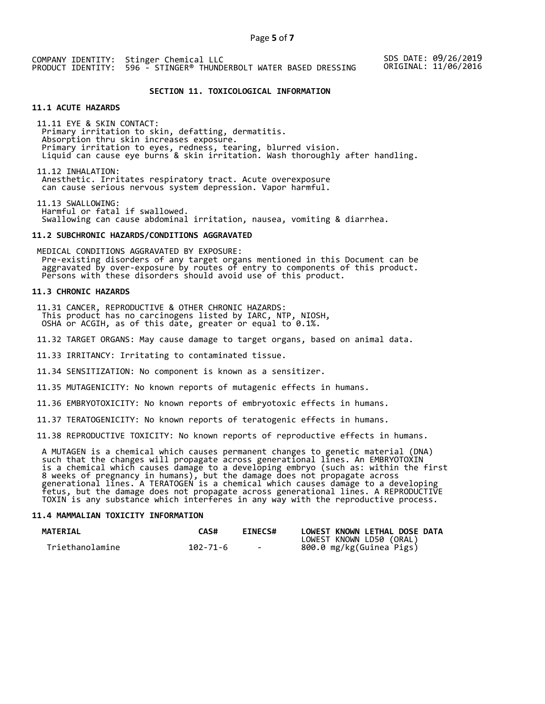SDS DATE: 09/26/2019 ORIGINAL: 11/06/2016

# **SECTION 11. TOXICOLOGICAL INFORMATION**

# **11.1 ACUTE HAZARDS**

11.11 EYE & SKIN CONTACT:<br>Primary irritation to skin, defatting, dermatitis. Absorption thru skin increases exposure.<br>Primary irritation to eyes, redness, tearing, blurred vision.<br>Liquid can cause eye burns & skin irritation. Wash thoroughly after handling.

11.12 INHALATION:<br>Anesthetic. Irritates respiratory tract. Acute overexposure can cause serious nervous system depression. Vapor harmful.

11.13 SWALLOWING:<br>Harmful or fatal if swallowed. Swallowing can cause abdominal irritation, nausea, vomiting & diarrhea.

#### **11.2 SUBCHRONIC HAZARDS/CONDITIONS AGGRAVATED**

MEDICAL CONDITIONS AGGRAVATED BY EXPOSURE:<br>Pre-existing disorders of any target organs mentioned in this Document can be<br>aggravated by over-exposure by routes of entry to components of this product.<br>Persons with these diso

# **11.3 CHRONIC HAZARDS**

11.31 CANCER, REPRODUCTIVE & OTHER CHRONIC HAZARDS: This product has no carcinogens listed by IARC, NTP, NIOSH, OSHA or ACGIH, as of this date, greater or equal to 0.1%.

11.32 TARGET ORGANS: May cause damage to target organs, based on animal data.

11.33 IRRITANCY: Irritating to contaminated tissue.

11.34 SENSITIZATION: No component is known as a sensitizer.

11.35 MUTAGENICITY: No known reports of mutagenic effects in humans.

11.36 EMBRYOTOXICITY: No known reports of embryotoxic effects in humans.

11.37 TERATOGENICITY: No known reports of teratogenic effects in humans.

11.38 REPRODUCTIVE TOXICITY: No known reports of reproductive effects in humans.

A MUTAGEN is a chemical which causes permanent changes to genetic material (DNA)<br>such that the changes will propagate across generational lines. An EMBRYOTOXIN<br>is a chemical which causes damage to a developing embryo (such

#### **11.4 MAMMALIAN TOXICITY INFORMATION**

| <b>MATERIAL</b> | <b>CAS#</b> | <b>EINECS#</b> | LOWEST KNOWN LETHAL DOSE DATA |
|-----------------|-------------|----------------|-------------------------------|
|                 |             |                | LOWEST KNOWN LD50 (ORAL)      |
| Triethanolamine | 102-71-6    | $\sim$ $\sim$  | 800.0 mg/kg(Guinea Pigs)      |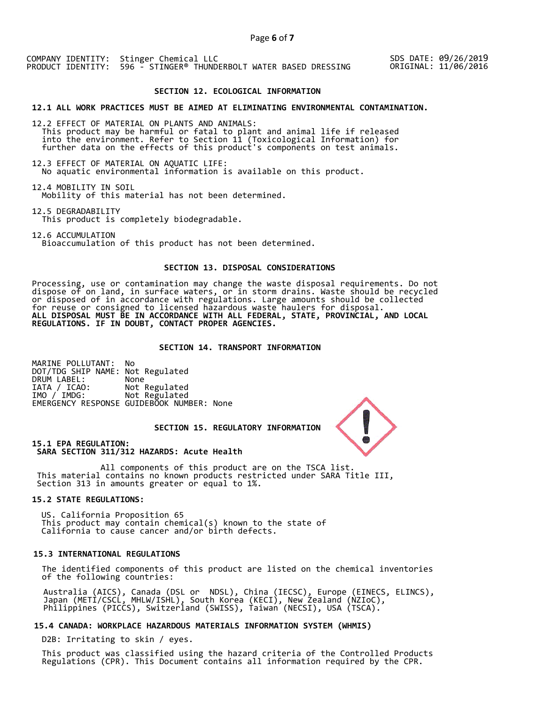SDS DATE: 09/26/2019 ORIGINAL: 11/06/2016

# **SECTION 12. ECOLOGICAL INFORMATION**

#### **12.1 ALL WORK PRACTICES MUST BE AIMED AT ELIMINATING ENVIRONMENTAL CONTAMINATION.**

12.2 EFFECT OF MATERIAL ON PLANTS AND ANIMALS:<br>This product may be harmful or fatal to plant and animal life if released<br>into the environment. Refer to Section 11 (Toxicological Information) for<br>further data on the effects

12.3 EFFECT OF MATERIAL ON AQUATIC LIFE: No aquatic environmental information is available on this product.

12.4 MOBILITY IN SOIL Mobility of this material has not been determined.

12.5 DEGRADABILITY This product is completely biodegradable.

12.6 ACCUMULATION Bioaccumulation of this product has not been determined.

## **SECTION 13. DISPOSAL CONSIDERATIONS**

Processing, use or contamination may change the waste disposal requirements. Do not dispose of on land, in surface waters, or in storm drains. Waste should be recycled or disposed of in accordance with regulations. Large amounts should be collected for reuse or consigned to licensed hazardous waste haulers for disposal. **ALL DISPOSAL MUST BE IN ACCORDANCE WITH ALL FEDERAL, STATE, PROVINCIAL, AND LOCAL REGULATIONS. IF IN DOUBT, CONTACT PROPER AGENCIES.** 

### **SECTION 14. TRANSPORT INFORMATION**

MARINE POLLUTANT: No DOT/TDG SHIP NAME: Not Regulated DRUM LABEL:<br>IATA / ICAO:<br>IMO / IMDG: Not Regulated Not Regulated EMERGENCY RESPONSE GUIDEBOOK NUMBER: None

 **SECTION 15. REGULATORY INFORMATION** 

**15.1 EPA REGULATION: SARA SECTION 311/312 HAZARDS: Acute Health** 

All components of this product are on the TSCA list. This material contains no known products restricted under SARA Title III, Section 313 in amounts greater or equal to 1%.

# **15.2 STATE REGULATIONS:**

US. California Proposition 65 This product may contain chemical(s) known to the state of California to cause cancer and/or birth defects.

## **15.3 INTERNATIONAL REGULATIONS**

The identified components of this product are listed on the chemical inventories<br>of the following countries:

Australia (AICS), Canada (DSL or NDSL), China (IECSC), Europe (EINECS, ELINCS),<br>Japan (METI/CSCL, MHLW/ISHL), South Korea (KECI), New Zealand (NZIoC),<br>Philippines (PICCS), Switzerland (SWISS), Taiwan (NECSI), USA (TSCA).

#### **15.4 CANADA: WORKPLACE HAZARDOUS MATERIALS INFORMATION SYSTEM (WHMIS)**

D2B: Irritating to skin / eyes.

This product was classified using the hazard criteria of the Controlled Products<br>Regulations (CPR). This Document contains all information required by the CPR.